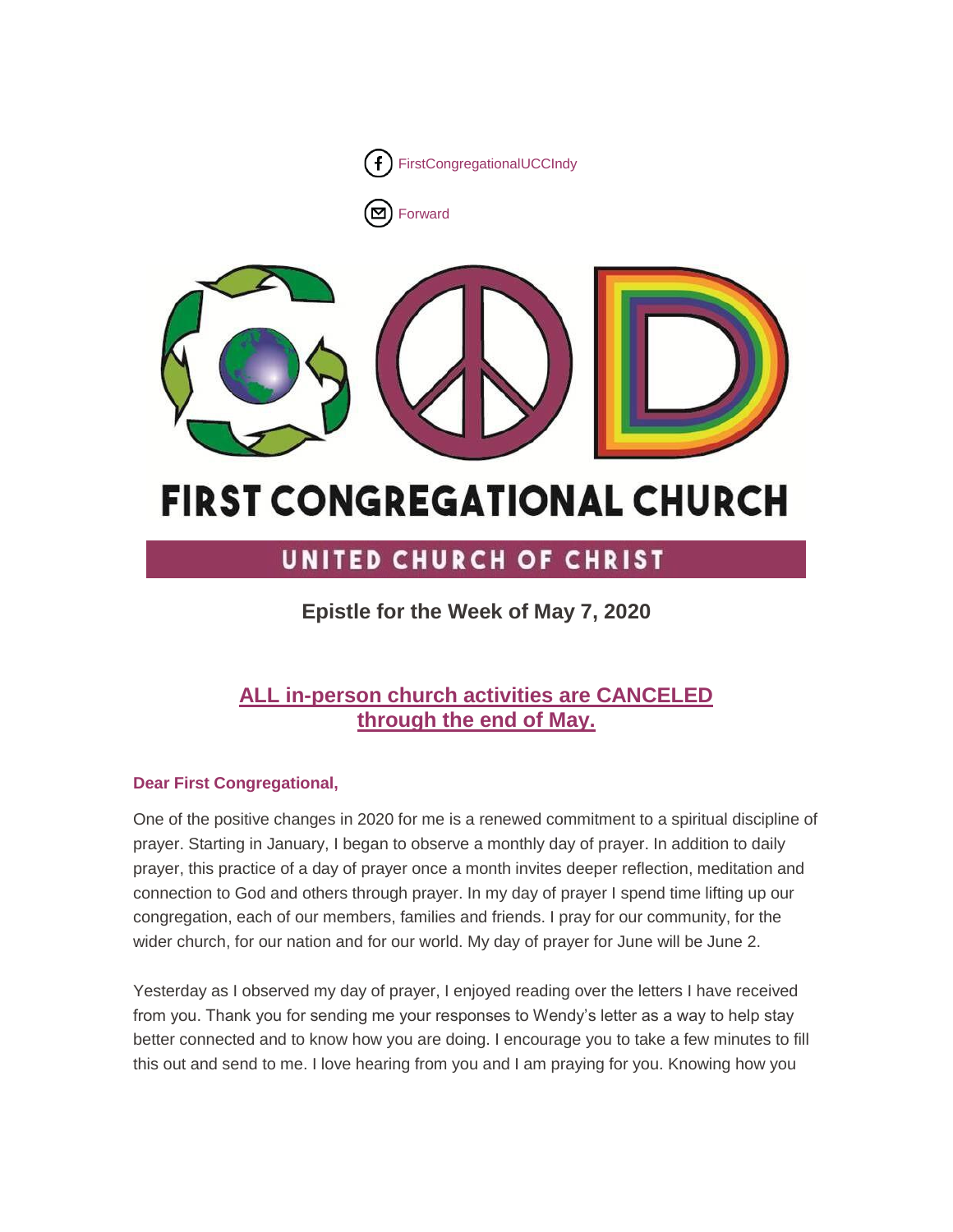

[Forward](http://us16.forward-to-friend.com/forward?u=7a2e4c501545b6d78729a64a1&id=2d1947e88b&e=%5bUNIQID%5d)



# **FIRST CONGREGATIONAL CHURCH**

# UNITED CHURCH OF CHRIST

**Epistle for the Week of May 7, 2020**

## **ALL in-person church activities are CANCELED through the end of May.**

### **Dear First Congregational,**

One of the positive changes in 2020 for me is a renewed commitment to a spiritual discipline of prayer. Starting in January, I began to observe a monthly day of prayer. In addition to daily prayer, this practice of a day of prayer once a month invites deeper reflection, meditation and connection to God and others through prayer. In my day of prayer I spend time lifting up our congregation, each of our members, families and friends. I pray for our community, for the wider church, for our nation and for our world. My day of prayer for June will be June 2.

Yesterday as I observed my day of prayer, I enjoyed reading over the letters I have received from you. Thank you for sending me your responses to Wendy's letter as a way to help stay better connected and to know how you are doing. I encourage you to take a few minutes to fill this out and send to me. I love hearing from you and I am praying for you. Knowing how you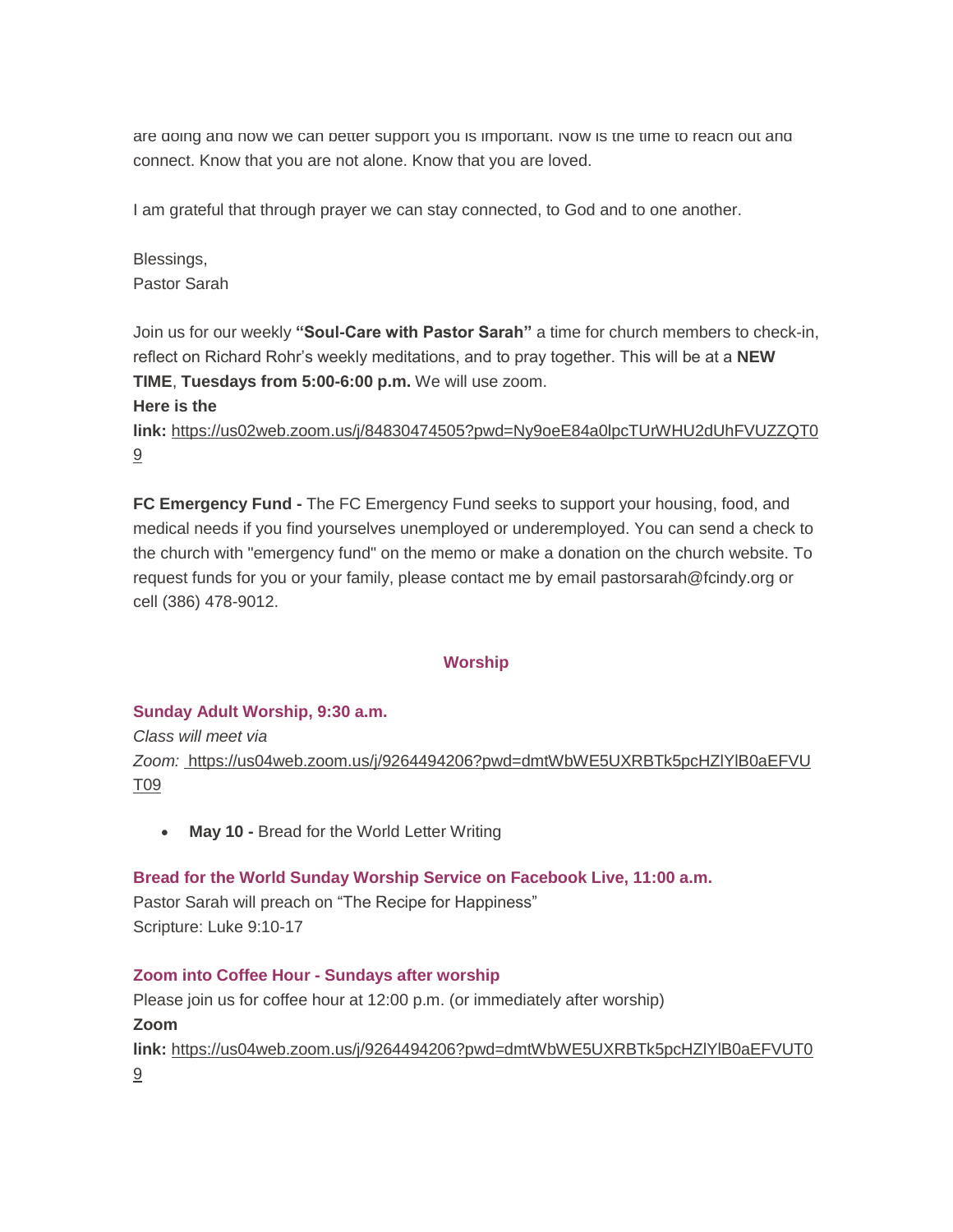are doing and how we can better support you is important. Now is the time to reach out and connect. Know that you are not alone. Know that you are loved.

I am grateful that through prayer we can stay connected, to God and to one another.

Blessings, Pastor Sarah

Join us for our weekly **"Soul-Care with Pastor Sarah"** a time for church members to check-in, reflect on Richard Rohr's weekly meditations, and to pray together. This will be at a **NEW TIME**, **Tuesdays from 5:00-6:00 p.m.** We will use zoom.

#### **Here is the**

**link:** [https://us02web.zoom.us/j/84830474505?pwd=Ny9oeE84a0lpcTUrWHU2dUhFVUZZQT0](https://us02web.zoom.us/j/84830474505?pwd=Ny9oeE84a0lpcTUrWHU2dUhFVUZZQT09) [9](https://us02web.zoom.us/j/84830474505?pwd=Ny9oeE84a0lpcTUrWHU2dUhFVUZZQT09)

**FC Emergency Fund -** The FC Emergency Fund seeks to support your housing, food, and medical needs if you find yourselves unemployed or underemployed. You can send a check to the church with "emergency fund" on the memo or make a donation on the church website. To request funds for you or your family, please contact me by email pastorsarah@fcindy.org or cell (386) 478-9012.

#### **Worship**

#### **Sunday Adult Worship, 9:30 a.m.**

*Class will meet via Zoom:* [https://us04web.zoom.us/j/9264494206?pwd=dmtWbWE5UXRBTk5pcHZlYlB0aEFVU](https://us04web.zoom.us/j/9264494206?pwd=dmtWbWE5UXRBTk5pcHZlYlB0aEFVUT09) [T09](https://us04web.zoom.us/j/9264494206?pwd=dmtWbWE5UXRBTk5pcHZlYlB0aEFVUT09)

**May 10 -** Bread for the World Letter Writing

#### **Bread for the World Sunday Worship Service on Facebook Live, 11:00 a.m.**

Pastor Sarah will preach on "The Recipe for Happiness" Scripture: Luke 9:10-17

#### **Zoom into Coffee Hour - Sundays after worship**

Please join us for coffee hour at 12:00 p.m. (or immediately after worship) **Zoom link:** [https://us04web.zoom.us/j/9264494206?pwd=dmtWbWE5UXRBTk5pcHZlYlB0aEFVUT0](https://us04web.zoom.us/j/9264494206?pwd=dmtWbWE5UXRBTk5pcHZlYlB0aEFVUT09) [9](https://us04web.zoom.us/j/9264494206?pwd=dmtWbWE5UXRBTk5pcHZlYlB0aEFVUT09)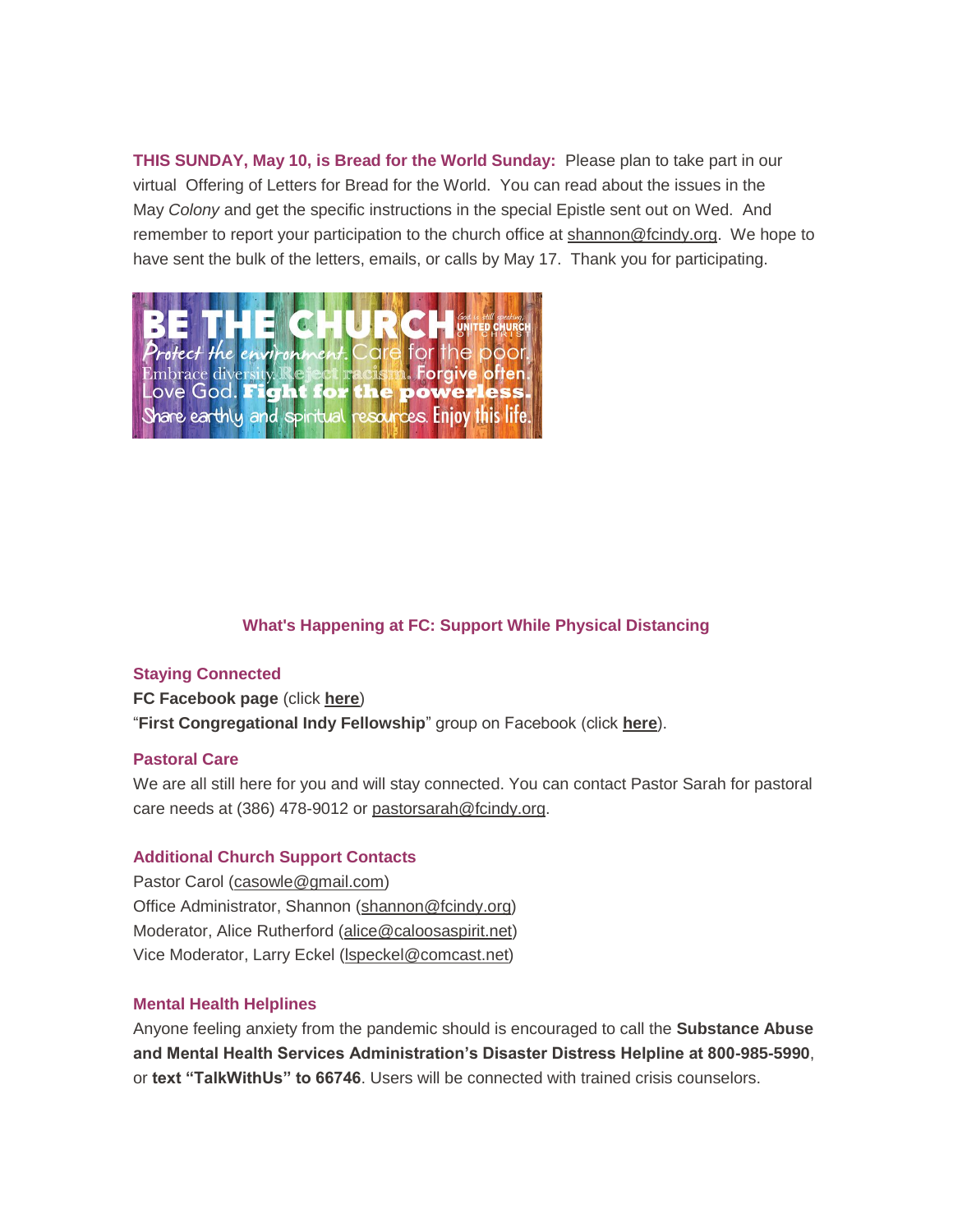**THIS SUNDAY, May 10, is Bread for the World Sunday:** Please plan to take part in our virtual Offering of Letters for Bread for the World. You can read about the issues in the May *Colony* and get the specific instructions in the special Epistle sent out on Wed. And remember to report your participation to the church office at [shannon@fcindy.org.](mailto:shannon@fcindy.org) We hope to have sent the bulk of the letters, emails, or calls by May 17. Thank you for participating.



#### **What's Happening at FC: Support While Physical Distancing**

#### **Staying Connected**

**FC Facebook page** (click **[here](https://www.facebook.com/FirstCongregationalUCCIndy/)**) "**First Congregational Indy Fellowship**" group on Facebook (click **[here](https://www.facebook.com/groups/521333455186422/)**).

#### **Pastoral Care**

We are all still here for you and will stay connected. You can contact Pastor Sarah for pastoral care needs at (386) 478-9012 or [pastorsarah@fcindy.org.](mailto:pastorsarah@fcindy.org)

#### **Additional Church Support Contacts**

Pastor Carol [\(casowle@gmail.com\)](mailto:casowle@gmail.com) Office Administrator, Shannon [\(shannon@fcindy.org\)](mailto:shannon@fcindy.org) Moderator, Alice Rutherford [\(alice@caloosaspirit.net\)](mailto:alice@caloosaspirit.net) Vice Moderator, Larry Eckel [\(lspeckel@comcast.net\)](mailto:lspeckel@comcast.net)

#### **Mental Health Helplines**

Anyone feeling anxiety from the pandemic should is encouraged to call the **Substance Abuse and Mental Health Services Administration's Disaster Distress Helpline at 800-985-5990**, or **text "TalkWithUs" to 66746**. Users will be connected with trained crisis counselors.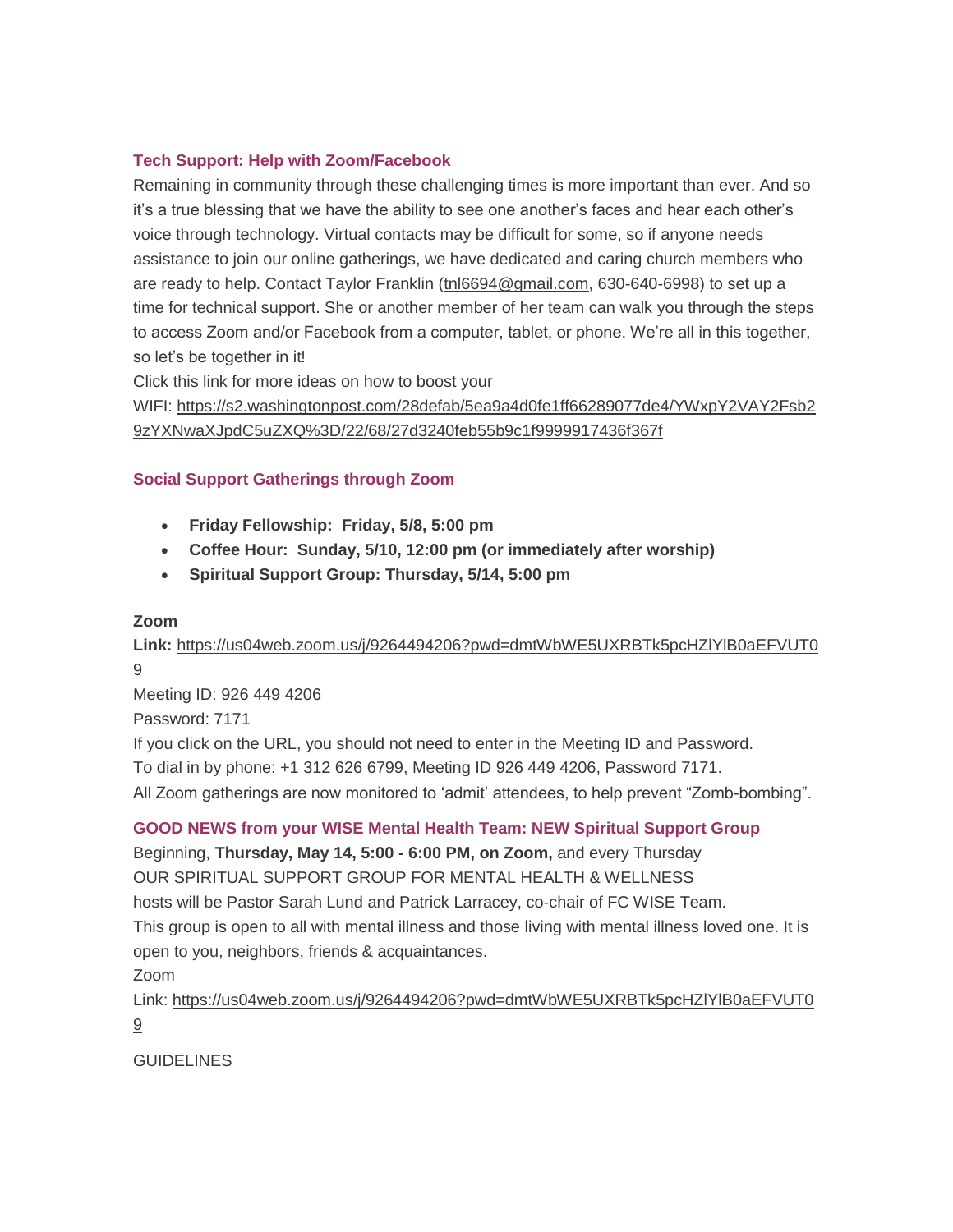#### **Tech Support: Help with Zoom/Facebook**

Remaining in community through these challenging times is more important than ever. And so it's a true blessing that we have the ability to see one another's faces and hear each other's voice through technology. Virtual contacts may be difficult for some, so if anyone needs assistance to join our online gatherings, we have dedicated and caring church members who are ready to help. Contact Taylor Franklin [\(tnl6694@gmail.com,](mailto:tnl6694@gmail.com) 630-640-6998) to set up a time for technical support. She or another member of her team can walk you through the steps to access Zoom and/or Facebook from a computer, tablet, or phone. We're all in this together, so let's be together in it!

Click this link for more ideas on how to boost your

WIFI: [https://s2.washingtonpost.com/28defab/5ea9a4d0fe1ff66289077de4/YWxpY2VAY2Fsb2](https://s2.washingtonpost.com/28defab/5ea9a4d0fe1ff66289077de4/YWxpY2VAY2Fsb29zYXNwaXJpdC5uZXQ%3D/22/68/27d3240feb55b9c1f9999917436f367f) [9zYXNwaXJpdC5uZXQ%3D/22/68/27d3240feb55b9c1f9999917436f367f](https://s2.washingtonpost.com/28defab/5ea9a4d0fe1ff66289077de4/YWxpY2VAY2Fsb29zYXNwaXJpdC5uZXQ%3D/22/68/27d3240feb55b9c1f9999917436f367f)

#### **Social Support Gatherings through Zoom**

- **Friday Fellowship: Friday, 5/8, 5:00 pm**
- **Coffee Hour: Sunday, 5/10, 12:00 pm (or immediately after worship)**
- **Spiritual Support Group: Thursday, 5/14, 5:00 pm**

#### **Zoom**

**Link:** [https://us04web.zoom.us/j/9264494206?pwd=dmtWbWE5UXRBTk5pcHZlYlB0aEFVUT0](https://us04web.zoom.us/j/9264494206?pwd=dmtWbWE5UXRBTk5pcHZlYlB0aEFVUT09) [9](https://us04web.zoom.us/j/9264494206?pwd=dmtWbWE5UXRBTk5pcHZlYlB0aEFVUT09)

Meeting ID: 926 449 4206

Password: 7171

If you click on the URL, you should not need to enter in the Meeting ID and Password.

To dial in by phone: +1 312 626 6799, Meeting ID 926 449 4206, Password 7171.

All Zoom gatherings are now monitored to 'admit' attendees, to help prevent "Zomb-bombing".

#### **GOOD NEWS from your WISE Mental Health Team: NEW Spiritual Support Group**

Beginning, **Thursday, May 14, 5:00 - 6:00 PM, on Zoom,** and every Thursday OUR SPIRITUAL SUPPORT GROUP FOR MENTAL HEALTH & WELLNESS hosts will be Pastor Sarah Lund and Patrick Larracey, co-chair of FC WISE Team. This group is open to all with mental illness and those living with mental illness loved one. It is open to you, neighbors, friends & acquaintances.

Zoom

Link: [https://us04web.zoom.us/j/9264494206?pwd=dmtWbWE5UXRBTk5pcHZlYlB0aEFVUT0](https://us04web.zoom.us/j/9264494206?pwd=dmtWbWE5UXRBTk5pcHZlYlB0aEFVUT09) [9](https://us04web.zoom.us/j/9264494206?pwd=dmtWbWE5UXRBTk5pcHZlYlB0aEFVUT09)

#### GUIDELINES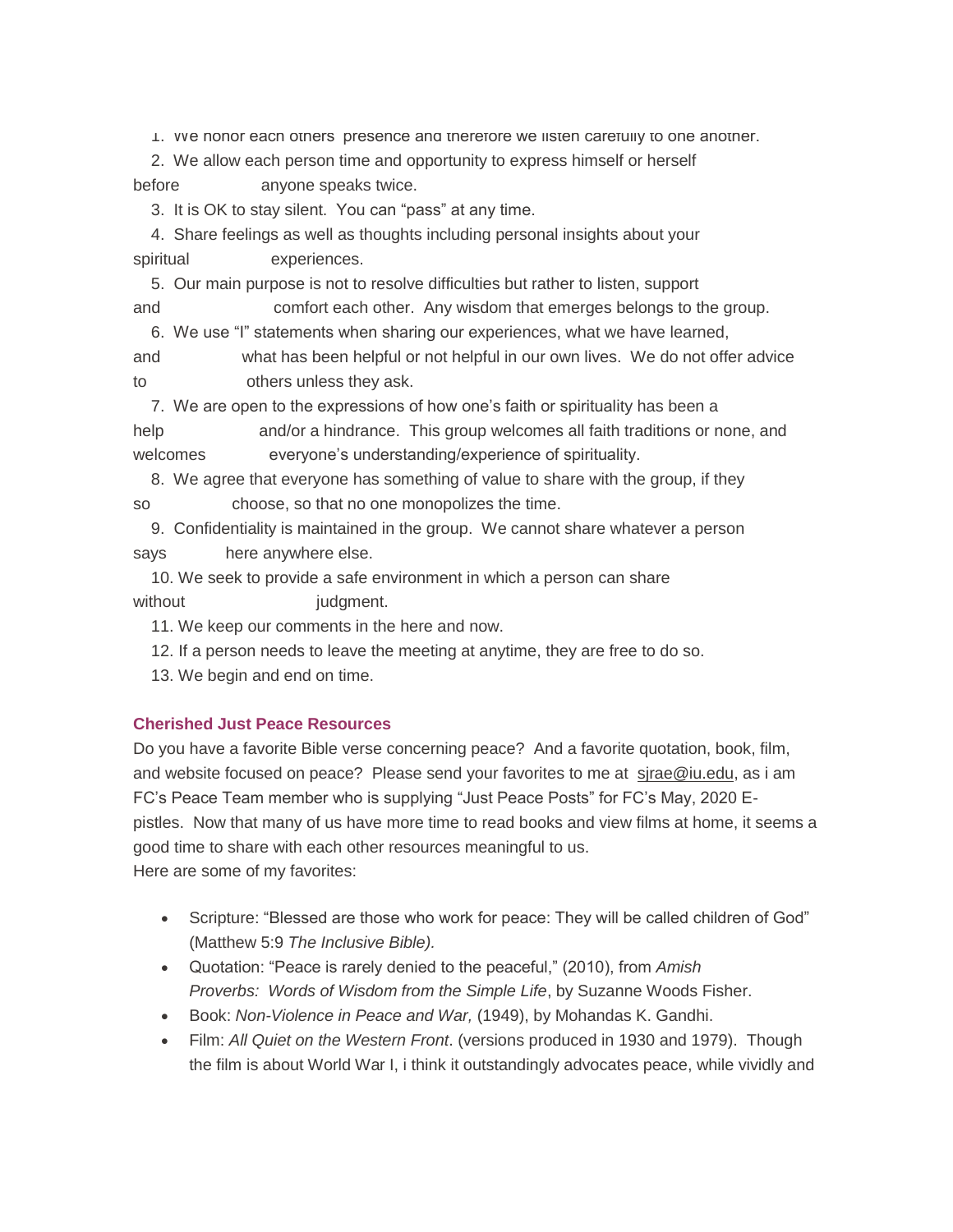1. We honor each others' presence and therefore we listen carefully to one another.

 2. We allow each person time and opportunity to express himself or herself before anyone speaks twice.

3. It is OK to stay silent. You can "pass" at any time.

 4. Share feelings as well as thoughts including personal insights about your spiritual experiences.

5. Our main purpose is not to resolve difficulties but rather to listen, support

and comfort each other. Any wisdom that emerges belongs to the group. 6. We use "I" statements when sharing our experiences, what we have learned,

and what has been helpful or not helpful in our own lives. We do not offer advice to others unless they ask.

7. We are open to the expressions of how one's faith or spirituality has been a

help and/or a hindrance. This group welcomes all faith traditions or none, and welcomes everyone's understanding/experience of spirituality.

 8. We agree that everyone has something of value to share with the group, if they so choose, so that no one monopolizes the time.

 9. Confidentiality is maintained in the group. We cannot share whatever a person says here anywhere else.

 10. We seek to provide a safe environment in which a person can share without iudgment.

11. We keep our comments in the here and now.

12. If a person needs to leave the meeting at anytime, they are free to do so.

13. We begin and end on time.

#### **Cherished Just Peace Resources**

Do you have a favorite Bible verse concerning peace? And a favorite quotation, book, film, and website focused on peace? Please send your favorites to me at [sjrae@iu.edu,](mailto:sjrae@iu.edu) as i am FC's Peace Team member who is supplying "Just Peace Posts" for FC's May, 2020 Epistles. Now that many of us have more time to read books and view films at home, it seems a good time to share with each other resources meaningful to us. Here are some of my favorites:

 Scripture: "Blessed are those who work for peace: They will be called children of God" (Matthew 5:9 *The Inclusive Bible).*

 Quotation: "Peace is rarely denied to the peaceful," (2010), from *Amish Proverbs: Words of Wisdom from the Simple Life*, by Suzanne Woods Fisher.

Book: *Non-Violence in Peace and War,* (1949), by Mohandas K. Gandhi.

 Film: *All Quiet on the Western Front*. (versions produced in 1930 and 1979). Though the film is about World War I, i think it outstandingly advocates peace, while vividly and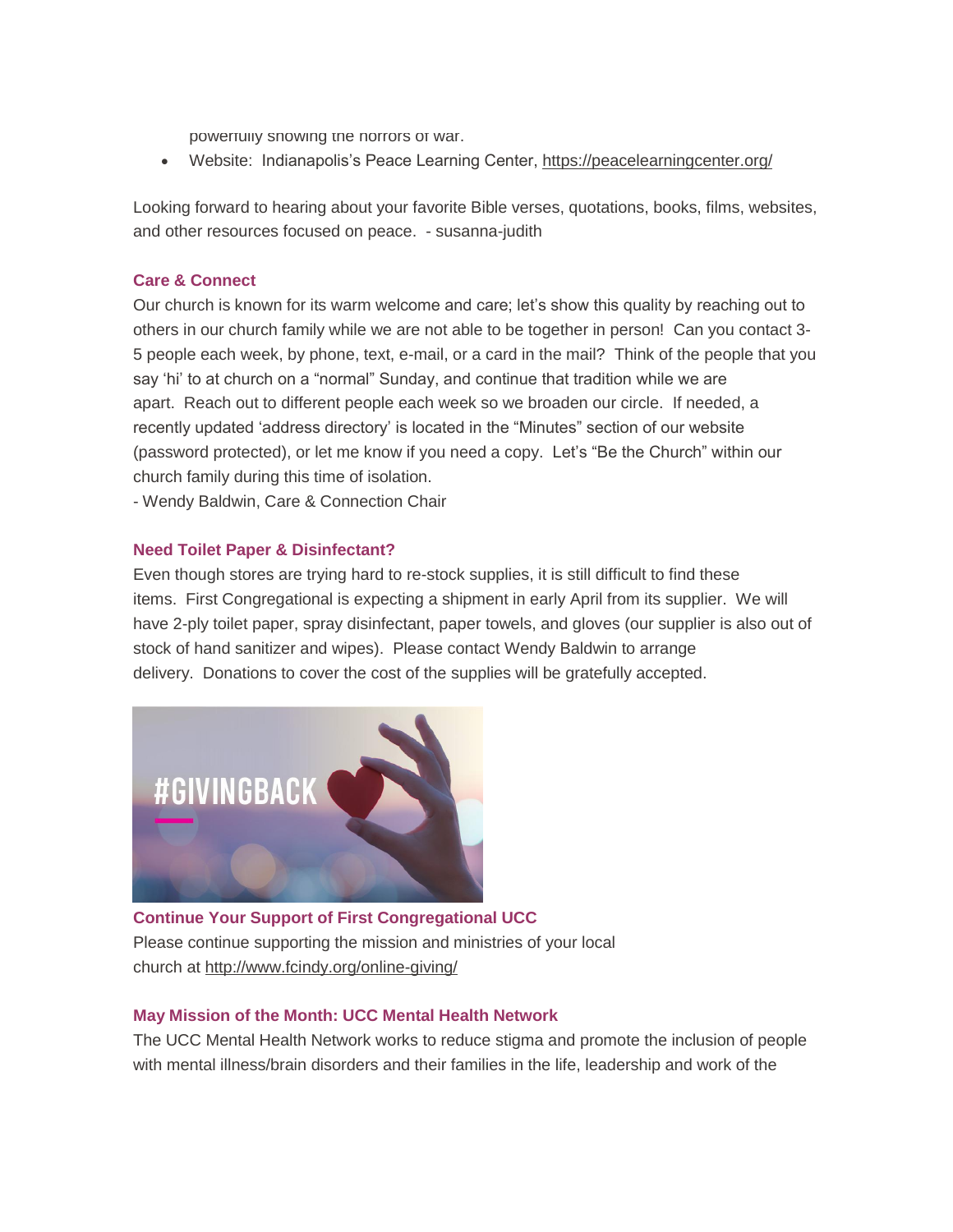powerfully showing the horrors of war.

Website: Indianapolis's Peace Learning Center, <https://peacelearningcenter.org/>

Looking forward to hearing about your favorite Bible verses, quotations, books, films, websites, and other resources focused on peace. - susanna-judith

#### **Care & Connect**

Our church is known for its warm welcome and care; let's show this quality by reaching out to others in our church family while we are not able to be together in person! Can you contact 3- 5 people each week, by phone, text, e-mail, or a card in the mail? Think of the people that you say 'hi' to at church on a "normal" Sunday, and continue that tradition while we are apart. Reach out to different people each week so we broaden our circle. If needed, a recently updated 'address directory' is located in the "Minutes" section of our website (password protected), or let me know if you need a copy. Let's "Be the Church" within our church family during this time of isolation.

- Wendy Baldwin, Care & Connection Chair

#### **Need Toilet Paper & Disinfectant?**

Even though stores are trying hard to re-stock supplies, it is still difficult to find these items. First Congregational is expecting a shipment in early April from its supplier. We will have 2-ply toilet paper, spray disinfectant, paper towels, and gloves (our supplier is also out of stock of hand sanitizer and wipes). Please contact Wendy Baldwin to arrange delivery. Donations to cover the cost of the supplies will be gratefully accepted.



**Continue Your Support of First Congregational UCC** Please continue supporting the mission and ministries of your local church at <http://www.fcindy.org/online-giving/>

#### **May Mission of the Month: UCC Mental Health Network**

The UCC Mental Health Network works to reduce stigma and promote the inclusion of people with mental illness/brain disorders and their families in the life, leadership and work of the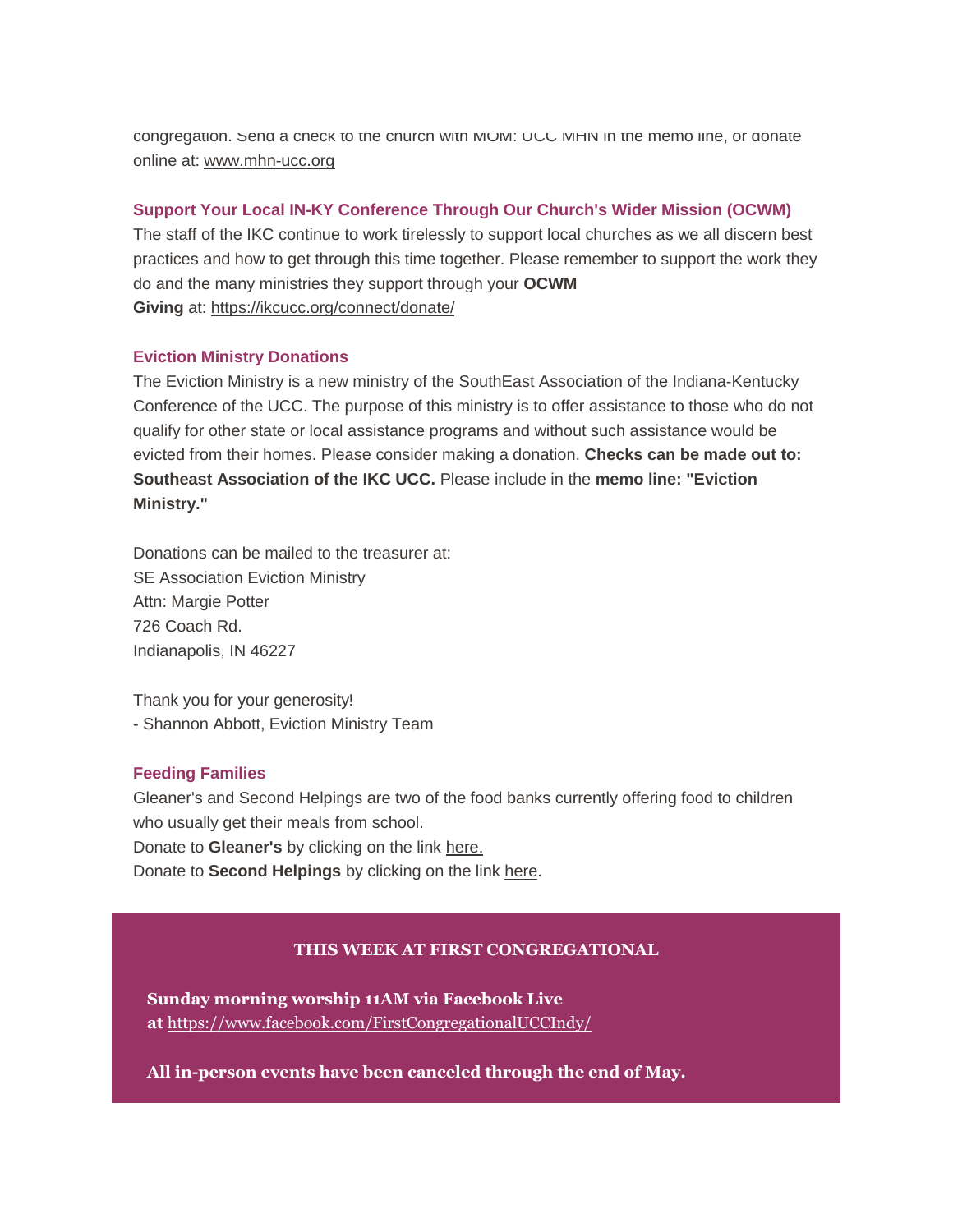congregation. Send a check to the church with MOM: UCC MHN in the memo line, or donate online at: [www.mhn-ucc.org](http://www.mhn-ucc.org/)

#### **Support Your Local IN-KY Conference Through Our Church's Wider Mission (OCWM)**

The staff of the IKC continue to work tirelessly to support local churches as we all discern best practices and how to get through this time together. Please remember to support the work they do and the many ministries they support through your **OCWM Giving** at: <https://ikcucc.org/connect/donate/>

#### **Eviction Ministry Donations**

The Eviction Ministry is a new ministry of the SouthEast Association of the Indiana-Kentucky Conference of the UCC. The purpose of this ministry is to offer assistance to those who do not qualify for other state or local assistance programs and without such assistance would be evicted from their homes. Please consider making a donation. **Checks can be made out to: Southeast Association of the IKC UCC.** Please include in the **memo line: "Eviction Ministry."**

Donations can be mailed to the treasurer at: SE Association Eviction Ministry Attn: Margie Potter 726 Coach Rd. Indianapolis, IN 46227

Thank you for your generosity! - Shannon Abbott, Eviction Ministry Team

#### **Feeding Families**

Gleaner's and Second Helpings are two of the food banks currently offering food to children who usually get their meals from school. Donate to **Gleaner's** by clicking on the link [here.](https://secure2.convio.net/gfbin/site/Donation2;jsessionid=00000000.app20103b?idb=1780702133&1400.donation=form1&df_id=1400&mfc_pref=T&NONCE_TOKEN=3DB920EF697D2AE560C6EA7CBDF90EF8&idb=0)

Donate to **Second Helpings** by clicking on the link [here.](https://www.secondhelpings.org/donate/)

#### **THIS WEEK AT FIRST CONGREGATIONAL**

**Sunday morning worship 11AM via Facebook Live at** <https://www.facebook.com/FirstCongregationalUCCIndy/>

**All in-person events have been canceled through the end of May.**